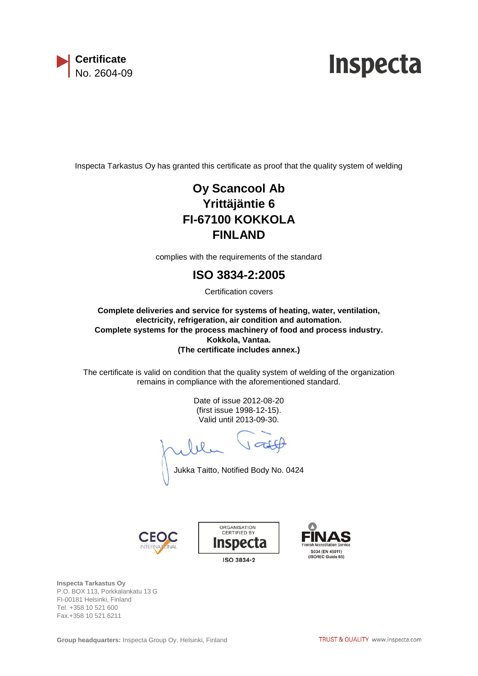

## **Inspecta**

Inspecta Tarkastus Oy has granted this certificate as proof that the quality system of welding

## **Oy Scancool Ab Yrittäjäntie 6 FI-67100 KOKKOLA FINLAND**

complies with the requirements of the standard

## **ISO 3834-2:2005**

Certification covers

**Complete deliveries and service for systems of heating, water, ventilation, electricity, refrigeration, air condition and automation. Complete systems for the process machinery of food and process industry. Kokkola, Vantaa. (The certificate includes annex.)**

The certificate is valid on condition that the quality system of welding of the organization remains in compliance with the aforementioned standard.

> Date of issue 2012-08-20 (first issue 1998-12-15). Valid until 2013-09-30.

 $J$ att

Jukka Taitto, Notified Body No. 0424







**Inspecta Tarkastus Oy** P.O. BOX 113, Porkkalankatu 13 G FI-00181 Helsinki, Finland Tel. +358 10 521 600 Fax.+358 10 521 6211